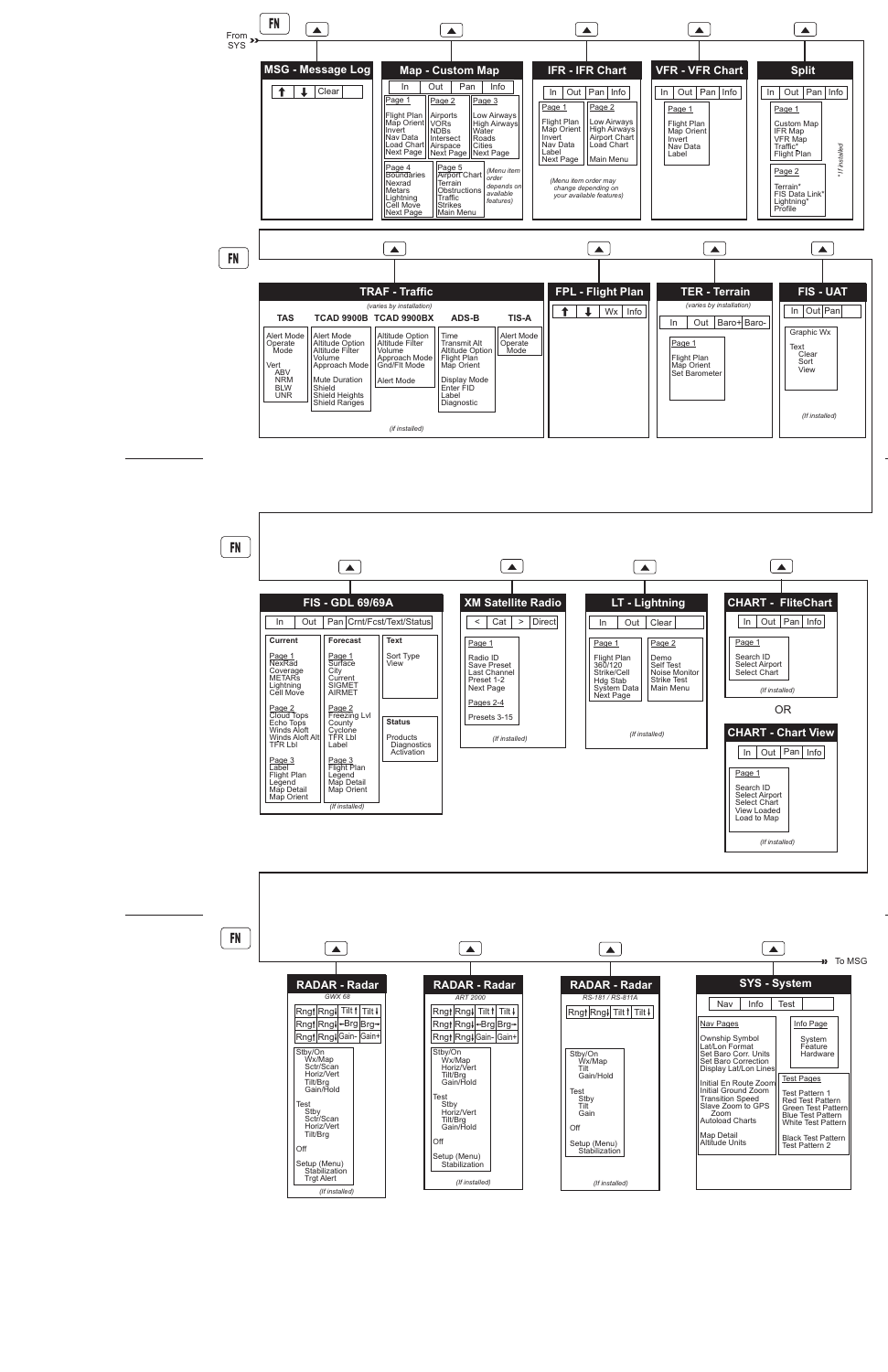FN





Info Page System Feature Hardware

Test Pages Test Pattern 1 Red Test Pattern Green Test Pattern Blue Test Pattern White Test Pattern Black Test Pattern Test Pattern 2

| Rngt Rngl Tilt f Tilt l                |                                                                                                                         |
|----------------------------------------|-------------------------------------------------------------------------------------------------------------------------|
|                                        | Nav Pages                                                                                                               |
| Stby/On<br>Wx/Map<br>Tilt<br>Gain/Hold | Ownship Symbol<br>Lat/Lon Format<br>Set Baro Corr. Units<br>Set Baro Correction<br>Display Lat/Lon Lines                |
| Test<br>Stby<br>Tilt<br>Gain<br>Off    | Initial En Route Zoom<br>Initial Ground Zoom<br><b>Transition Speed</b><br>Slave Zoom to GPS<br>Zoom<br>Autoload Charts |
| Setup (Menu)<br>Stabilization          | Map Detail<br>Altiṫude Units                                                                                            |
|                                        |                                                                                                                         |
| (If installed)                         |                                                                                                                         |

| Rngt Rngl Tilt t                                         |                |  |  | l Tilt ↓ |
|----------------------------------------------------------|----------------|--|--|----------|
| Rngt Rngl - Brg                                          |                |  |  | Brg      |
| Rngt Rngl Gain-                                          |                |  |  | Gain+    |
| Stby/On<br>Ŵx/Map<br>Horiz/Vert<br>Tilt/Brg<br>Gain/Hold |                |  |  |          |
| Test<br>Stby<br>Horiz/Vert<br>Tilt/Brg<br>Gain/Hold      |                |  |  |          |
| Ωff                                                      |                |  |  |          |
| Setup (Menu)<br>Stabilization                            |                |  |  |          |
|                                                          | (If installed) |  |  |          |



|         | Rng† Rng   Tilt f                                                 |  | Tilt I |
|---------|-------------------------------------------------------------------|--|--------|
|         | Rngt Rngl <del>I -</del> Brg Brg →                                |  |        |
|         | Rngt Rngl Gain- Gain+                                             |  |        |
| Stby/On | <b>Wx/Map</b><br>Sctr/Scan<br>Horiz/Vert<br>Tilt/Brg<br>Gain/Hold |  |        |
| Test    | Stby<br>Sctr/Scan<br>Horiz/Vert<br>Tilt/Brg                       |  |        |
| Off     |                                                                   |  |        |
|         | Setup (Menu)<br>Stabilization<br><b>Trgt Alert</b>                |  |        |
|         | (If installed)                                                    |  |        |

FN